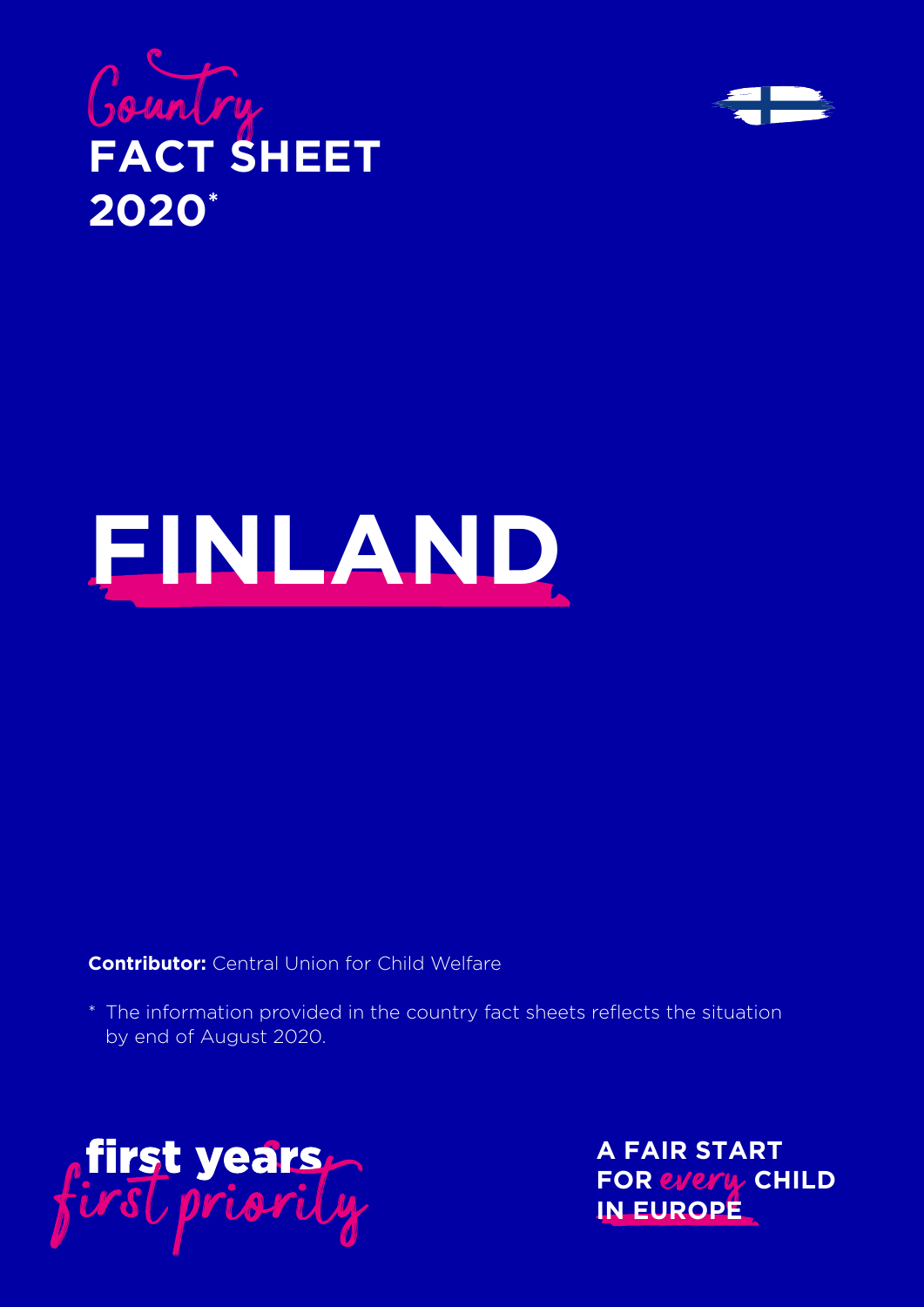





**Contributor:** Central Union for Child Welfare

\* The information provided in the country fact sheets reflects the situation by end of August 2020.



**A FAIR START FOR every CHILD IN EUROPE**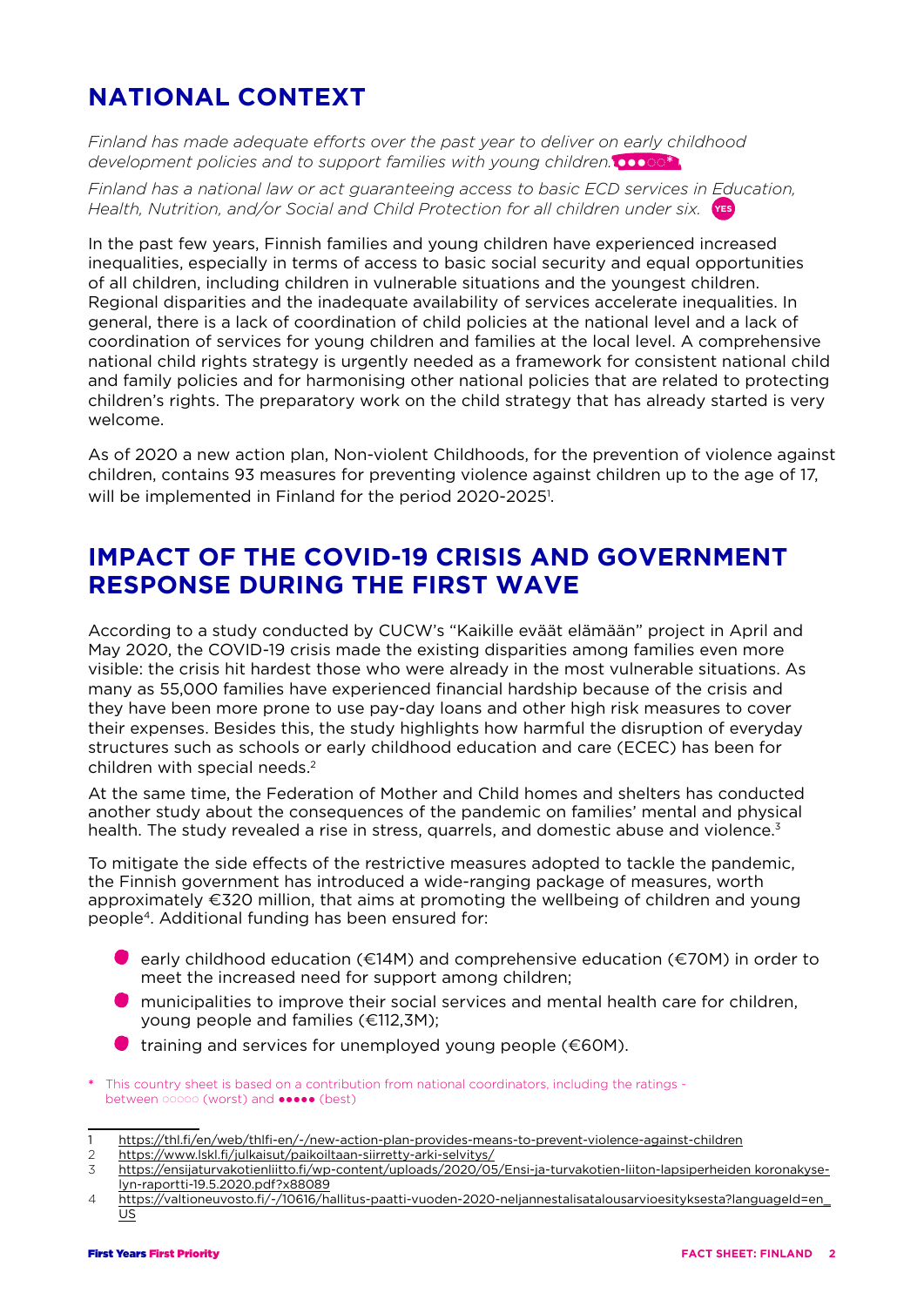# **NATIONAL CONTEXT**

*Finland has made adequate efforts over the past year to deliver on early childhood development policies and to support families with young children.*  $\bullet \bullet \circ \circ$ \*

*Finland has a national law or act guaranteeing access to basic ECD services in Education,*  Health, Nutrition, and/or Social and Child Protection for all children under six. **\res** 

In the past few years, Finnish families and young children have experienced increased inequalities, especially in terms of access to basic social security and equal opportunities of all children, including children in vulnerable situations and the youngest children. Regional disparities and the inadequate availability of services accelerate inequalities. In general, there is a lack of coordination of child policies at the national level and a lack of coordination of services for young children and families at the local level. A comprehensive national child rights strategy is urgently needed as a framework for consistent national child and family policies and for harmonising other national policies that are related to protecting children's rights. The preparatory work on the child strategy that has already started is very welcome.

As of 2020 a new action plan, Non-violent Childhoods, for the prevention of violence against children, contains 93 measures for preventing violence against children up to the age of 17, will be implemented in Finland for the period 2020-2025<sup>1</sup>.

### **IMPACT OF THE COVID-19 CRISIS AND GOVERNMENT RESPONSE DURING THE FIRST WAVE**

According to a study conducted by CUCW's "Kaikille eväät elämään" project in April and May 2020, the COVID-19 crisis made the existing disparities among families even more visible: the crisis hit hardest those who were already in the most vulnerable situations. As many as 55,000 families have experienced financial hardship because of the crisis and they have been more prone to use pay-day loans and other high risk measures to cover their expenses. Besides this, the study highlights how harmful the disruption of everyday structures such as schools or early childhood education and care (ECEC) has been for children with special needs.<sup>2</sup>

At the same time, the Federation of Mother and Child homes and shelters has conducted another study about the consequences of the pandemic on families' mental and physical health. The study revealed a rise in stress, quarrels, and domestic abuse and violence.<sup>3</sup>

To mitigate the side effects of the restrictive measures adopted to tackle the pandemic, the Finnish government has introduced a wide-ranging package of measures, worth approximately €320 million, that aims at promoting the wellbeing of children and young people4. Additional funding has been ensured for:

- $\bullet$  early childhood education (€14M) and comprehensive education (€70M) in order to meet the increased need for support among children;
- **O** municipalities to improve their social services and mental health care for children, young people and families (€112,3M);
- $\bullet$  training and services for unemployed young people ( $\epsilon$ 60M).
- \* This country sheet is based on a contribution from national coordinators, including the ratings between o⊙oo (worst) and ••••• (best)
- 1 https://thl.fi/en/web/thlfi-en/-/new-action-plan-provides-means-to-prevent-violence-against-children
- 2 <https://www.lskl.fi/julkaisut/paikoiltaan-siirretty-arki-selvitys/>

<sup>3</sup> [https://ensijaturvakotienliitto.fi/wp-content/uploads/2020/05/Ensi-ja-turvakotien-liiton-lapsiperheiden koronakyse](https://ensijaturvakotienliitto.fi/wp-content/uploads/2020/05/Ensi-ja-turvakotien-liiton-lapsiperheiden%20koronakyselyn-raportti-19.5.2020.pdf?x88089%20)[lyn-raportti-19.5.2020.pdf?x88089](https://ensijaturvakotienliitto.fi/wp-content/uploads/2020/05/Ensi-ja-turvakotien-liiton-lapsiperheiden%20koronakyselyn-raportti-19.5.2020.pdf?x88089%20)

<sup>4</sup> https://valtioneuvosto.fi/-/10616/hallitus-paatti-vuoden-2020-neljannestalisatalousarvioesityksesta?languageId=en\_  $\underline{\mathsf{US}}$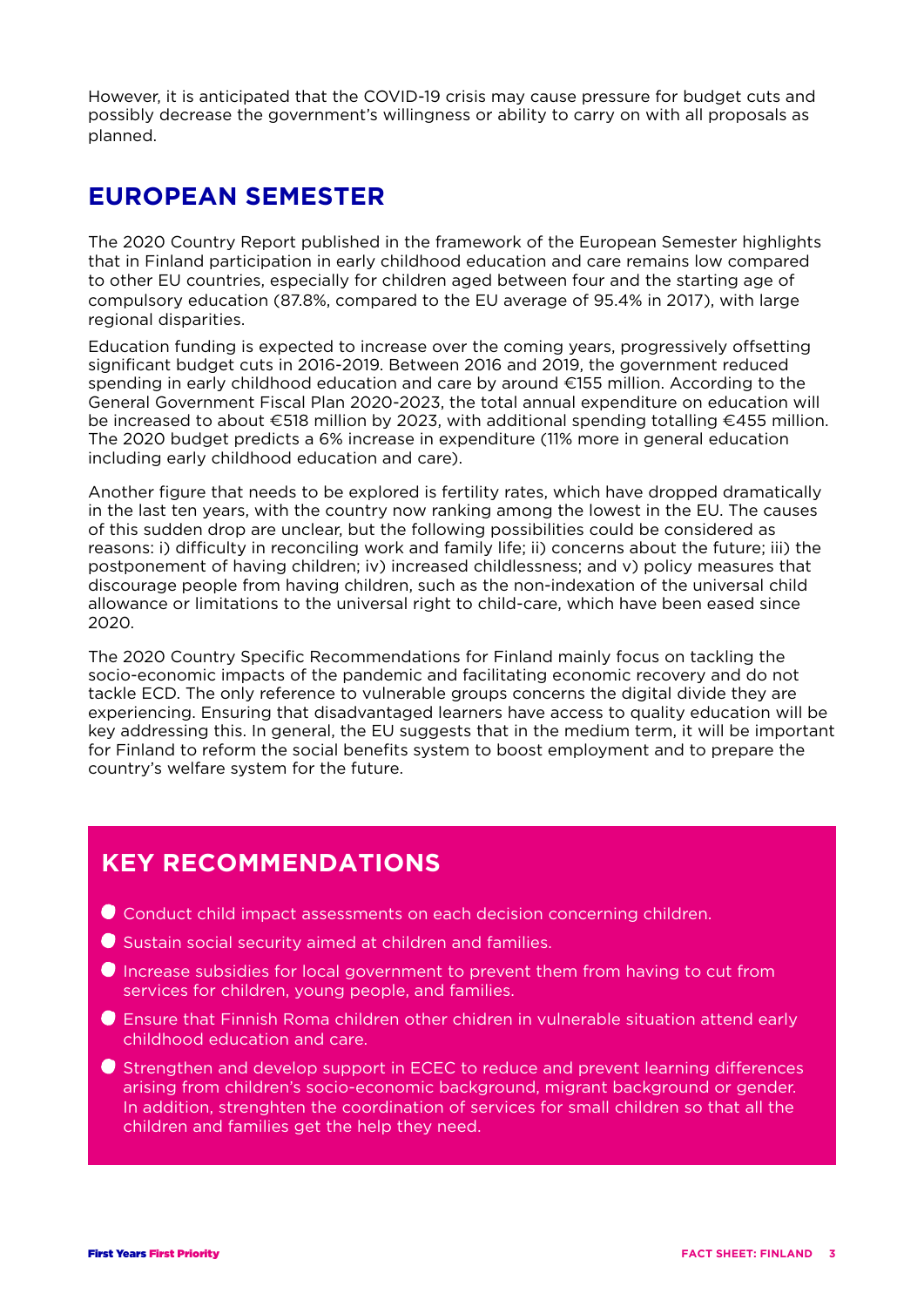However, it is anticipated that the COVID-19 crisis may cause pressure for budget cuts and possibly decrease the government's willingness or ability to carry on with all proposals as planned.

#### **EUROPEAN SEMESTER**

The 2020 Country Report published in the framework of the European Semester highlights that in Finland participation in early childhood education and care remains low compared to other EU countries, especially for children aged between four and the starting age of compulsory education (87.8%, compared to the EU average of 95.4% in 2017), with large regional disparities.

Education funding is expected to increase over the coming years, progressively offsetting significant budget cuts in 2016-2019. Between 2016 and 2019, the government reduced spending in early childhood education and care by around €155 million. According to the General Government Fiscal Plan 2020-2023, the total annual expenditure on education will be increased to about €518 million by 2023, with additional spending totalling €455 million. The 2020 budget predicts a 6% increase in expenditure (11% more in general education including early childhood education and care).

Another figure that needs to be explored is fertility rates, which have dropped dramatically in the last ten years, with the country now ranking among the lowest in the EU. The causes of this sudden drop are unclear, but the following possibilities could be considered as reasons: i) difficulty in reconciling work and family life; ii) concerns about the future; iii) the postponement of having children; iv) increased childlessness; and v) policy measures that discourage people from having children, such as the non-indexation of the universal child allowance or limitations to the universal right to child-care, which have been eased since 2020.

The 2020 Country Specific Recommendations for Finland mainly focus on tackling the socio-economic impacts of the pandemic and facilitating economic recovery and do not tackle ECD. The only reference to vulnerable groups concerns the digital divide they are experiencing. Ensuring that disadvantaged learners have access to quality education will be key addressing this. In general, the EU suggests that in the medium term, it will be important for Finland to reform the social benefits system to boost employment and to prepare the country's welfare system for the future.

## **KEY RECOMMENDATIONS**

- Conduct child impact assessments on each decision concerning children.
- Sustain social security aimed at children and families.
- Increase subsidies for local government to prevent them from having to cut from services for children, young people, and families.
- Ensure that Finnish Roma children other chidren in vulnerable situation attend early childhood education and care.
- Strengthen and develop support in ECEC to reduce and prevent learning differences arising from children's socio-economic background, migrant background or gender. In addition, strenghten the coordination of services for small children so that all the children and families get the help they need.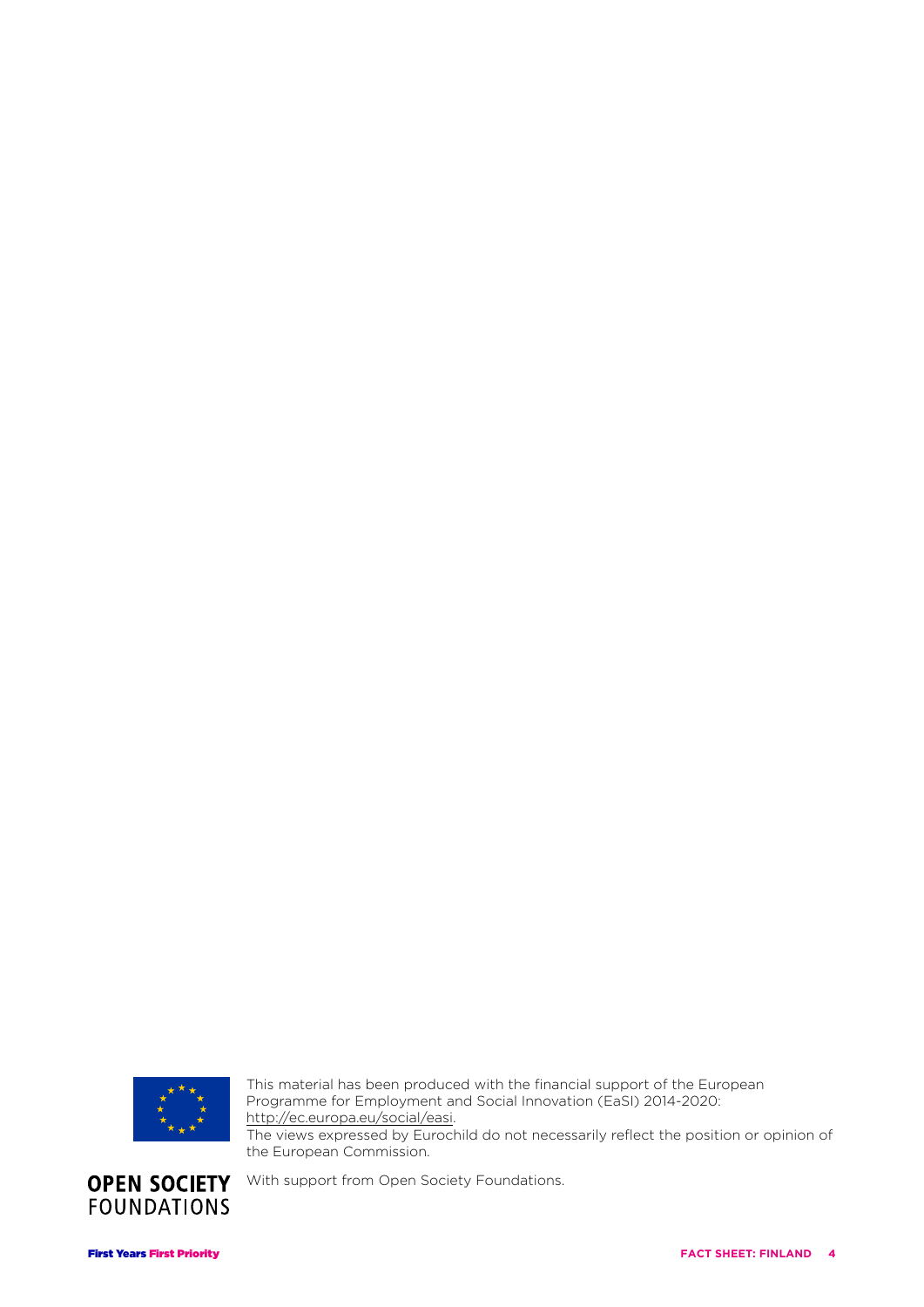

This material has been produced with the financial support of the European Programme for Employment and Social Innovation (EaSI) 2014-2020: http://ec.europa.eu/social/easi. The views expressed by Eurochild do not necessarily reflect the position or opinion of the European Commission.



With support from Open Society Foundations.